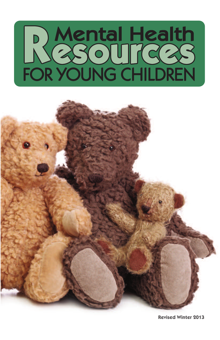



**Revised Winter 2013**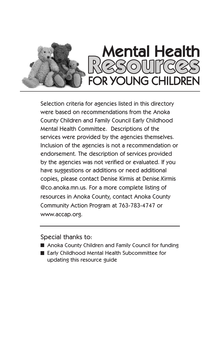

Selection criteria for agencies listed in this directory were based on recommendations from the Anoka County Children and Family Council Early Childhood Mental Health Committee. Descriptions of the services were provided by the agencies themselves. Inclusion of the agencies is not a recommendation or endorsement. The description of services provided by the agencies was not verified or evaluated. If you have suggestions or additions or need additional copies, please contact Denise Kirmis at Denise.Kirmis @co.anoka.mn.us. For a more complete listing of resources in Anoka County, contact Anoka County Community Action Program at 763-783-4747 or www.accap.org.

Special thanks to:

- Anoka County Children and Family Council for funding
- Early Childhood Mental Health Subcommittee for updating this resource guide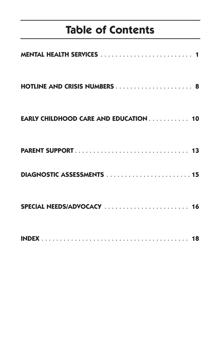# **Table of Contents**

| EARLY CHILDHOOD CARE AND EDUCATION 10 |  |
|---------------------------------------|--|
|                                       |  |
|                                       |  |
|                                       |  |
|                                       |  |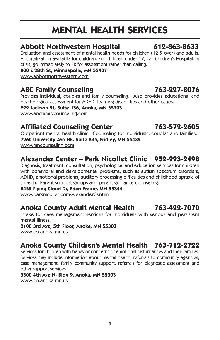# **MENTAL HEALTH SERVICES**

#### **Abbott Northwestern Hospital 612-863-8633**

Evaluation and assessment of mental health needs for children (12 & over) and adults. Hospitalization available for children. For children under 12, call Children's Hospital. In crisis, go immediately to ER for assessment rather than calling.

**800 E 28th St, Minneapolis, MN 55407**

www.abbottnorthwestern.com

### **ABC Family Counseling 763-227-8076**

Provides individual, couples and family counseling. Also provides educational and psychological assessment for ADHD, learning disabilities and other issues.

**229 Jackson St, Suite 136, Anoka, MN 55303** www.abcfamilycounseling.com

#### **Affiliated Counseling Center 763-572-2605**

Outpatient mental health clinic. Counseling for individuals, couples and families. **7260 University Ave NE, Suite 235, Fridley, MN 55432** www.mncounseling.com

### **Alexander Center – Park Nicollet Clinic 952-993-2498**

Diagnosis, treatment, consultation, psychological and education services for children with behavioral and developmental problems, such as autism spectrum disorders, ADHD, emotional problems, auditory processing difficulties and childhood apraxia of speech. Parent support groups and parent guidance counseling.

**8455 Flying Cloud Dr, Eden Prairie, MN 55344**

www.parknicollet.com/AlexanderCenter/

#### **Anoka County Adult Mental Health 763-422-7070**

Intake for case management services for individuals with serious and persistent mental illness.

**2100 3rd Ave, 5th Floor, Anoka, MN 55303** www.co.anoka.mn.us

### **Anoka County Children's Mental Health 763-712-2722**

Services for children with behavior concerns or emotional disturbances and their families. Services may include information about mental health, referrals to community agencies, case management, family community support, referrals for diagnostic assessment and other support services.

**3300 4th Ave N, Bldg 9, Anoka, MN 55303**

www.co.anoka.mn.us

**1**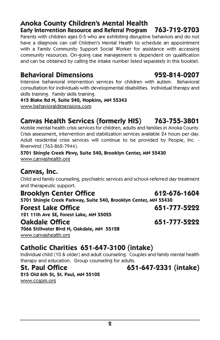#### **Anoka County Children's Mental Health Early Intervention Resource and Referral Program 763-712-2703**

Parents with children ages 0-5 who are exhibiting disruptive behaviors and do not have a diagnosis can call Children's Mental Health to schedule an appointment with a Family Community Support Social Worker for assistance with accessing community resources. On-going case management is dependent on qualification and can be obtained by calling the intake number listed separately in this booklet.

### **Behavioral Dimensions 952-814-0207**

Intensive behavioral intervention services for children with autism. Behavioral consultation for individuals with developmental disabilities. Individual therapy and skills training. Family skills training.

**415 Blake Rd N, Suite 240, Hopkins, MN 55343**

www.behavioraldimensions.com

### **Canvas Health Services (formerly HIS) 763-755-3801**

Mobile mental health crisis services for children, adults and families in Anoka County. Crisis assessment, intervention and stabilization services available 24 hours per day. Adult residential crisis services will continue to be provided by People, Inc. - Riverwind (763-862-7944).

**5701 Shingle Creek Pkwy, Suite 540, Brooklyn Center, MN 55430** www.canvashealth.org

### **Canvas, Inc.**

Child and family counseling, psychiatric services and school-referred day treatment and therapeutic support.

**Brooklyn Center Office 612-676-1604**

**5701 Shingle Creek Parkway, Suite 540, Brooklyn Center, MN 55430**

#### **Forest Lake Office 651-777-5222**

**121 11th Ave SE, Forest Lake, MN 55025**

#### **Oakdale Office 651-777-5222**

**7066 Stillwater Blvd N, Oakdale, MN 55128** www.canvashealth.org

### **Catholic Charities 651-647-3100 (intake)**

Individual child (10 & older) and adult counseling. Couples and family mental health therapy and education. Group counseling for adults.

#### **St. Paul Office 651-647-2331 (intake)**

**215 Old 6th St, St. Paul, MN 55102** www.ccspm.org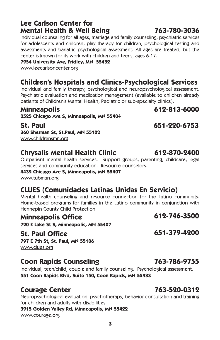#### **Lee Carlson Center for Mental Health & Well Being 763-780-3036**

Individual counseling for all ages, marriage and family counseling, psychiatric services for adolescents and children, play therapy for children, psychological testing and assessments and bariatric psychological assessment. All ages are treated, but the center is known for its work with children and teens, ages 6-17.

**7954 University Ave, Fridley, MN 55432**

www.leecarlsoncenter.org

### **Children's Hospitals and Clinics-Psychological Services**

Individual and family therapy, psychological and neuropsychological assessment. Psychiatric evaluation and medication management (available to children already patients of Children's Mental Health, Pediatric or sub-specialty clinics).

#### **Minneapolis 612-813-6000**

**2525 Chicago Ave S, Minneapolis, MN 55404**

**St. Paul 651-220-6753 360 Sherman St, St.Paul, MN 55102** www.childrensmn.org

### **Chrysalis Mental Health Clinic 612-870-2400**

Outpatient mental health services. Support groups, parenting, childcare, legal services and community education. Resource counselors.

**4432 Chicago Ave S, Minneapolis, MN 55407**

www.tubman.org

### **CLUES (Comunidades Latinas Unidas En Servicio)**

Mental health counseling and resource connection for the Latino community. Home-based programs for families in the Latino community in conjunction with Hennepin County Child Protection.

**Minneapolis Office 612-746-3500**

**720 E Lake St S, Minneapolis, MN 55407**

### **St. Paul Office 651-379-4200**

**797 E 7th St, St. Paul, MN 55106** www.clues.org

### **Coon Rapids Counseling 763-786-9755**

Individual, teen/child, couple and family counseling. Psychological assessment. **551 Coon Rapids Blvd, Suite 150, Coon Rapids, MN 55433**

### **Courage Center 763-520-0312**

Neuropsychological evaluation, psychotherapy, behavior consultation and training for children and adults with disabilities.

**3915 Golden Valley Rd, Minneapolis, MN 55422**

www.courage.org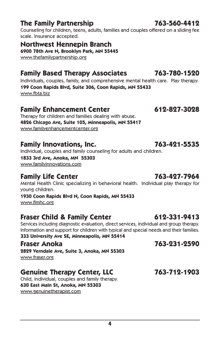### **The Family Partnership 763-560-4412**

Counseling for children, teens, adults, families and couples offered on a sliding fee scale. Insurance accepted.

**Northwest Hennepin Branch 6900 78th Ave N, Brooklyn Park, MN 55445** www.thefamilypartnership.org

### **Family Based Therapy Associates 763-780-1520**

Individuals, couples, family, and comprehensive mental health care. Play therapy. **199 Coon Rapids Blvd, Suite 306, Coon Rapids, MN 55433** www.fbta.biz

### **Family Enhancement Center 612-827-3028**

Therapy for children and families dealing with abuse. **4826 Chicago Ave, Suite 105, Minneapolis, MN 55417** www.familyenhancementcenter.org

### **Family Innovations, Inc. 763-421-5535**

Individual, couples and family counseling for adults and children.

**1833 3rd Ave, Anoka, MN 55303**

www.familyinnovations.com

### **Family Life Center 763-427-7964**

Mental Health Clinic specializing in behavioral health. Individual play therapy for young children.

**1930 Coon Rapids Blvd N, Coon Rapids, MN 55433**

www.flmhc.org

### **Fraser Child & Family Center 612-331-9413**

Services including diagnostic evaluation, direct services, individual and group therapy. Information and support for children with typical and special needs and their families. **333 University Ave SE, Minneapolis, MN 55414**

**2829 Verndale Ave, Suite 3, Anoka, MN 55303** www.fraser.org

### **Genuine Therapy Center, LLC 763-712-1903**

Child, individual, couples and family therapy. **630 East Main St, Anoka, MN 55303** www.genuinetherapist.com

### **Fraser Anoka 763-231-2590**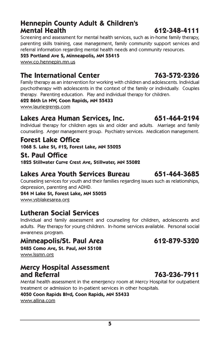#### **Hennepin County Adult & Children's Mental Health 612-348-4111**

Screening and assessment for mental health services, such as in-home family therapy, parenting skills training, case management, family community support services and referral information regarding mental health needs and community resources.

**525 Portland Ave S, Minneapolis, MN 55415**

www.co.hennepin.mn.us

### **The International Center 763-572-2326**

Family therapy as an intervention for working with children and adolescents. Individual psychotherapy with adolescents in the context of the family or individually. Couples therapy. Parenting education. Play and individual therapy for children.

#### **622 86th Ln NW, Coon Rapids, MN 55433**

www.lauriegrengs.com

### **Lakes Area Human Services, Inc. 651-464-2194**

Individual therapy for children ages six and older and adults. Marriage and family counseling. Anger management group. Psychiatry services. Medication management.

#### **Forest Lake Office**

**1068 S. Lake St, #12, Forest Lake, MN 55025**

## **St. Paul Office**

**1825 Stillwater Curve Crest Ave, Stillwater, MN 55082**

#### **Lakes Area Youth Services Bureau 651-464-3685**

Counseling services for youth and their families regarding issues such as relationships, depression, parenting and ADHD.

**244 N Lake St, Forest Lake, MN 55025**

www.ysblakesarea.org

### **Lutheran Social Services**

Individual and family assessment and counseling for children, adolescents and adults. Play therapy for young children. In-home services available. Personal social awareness program.

#### **Minneapolis/St. Paul Area 612-879-5320**

**2485 Como Ave, St. Paul, MN 55108** www.lssmn.org

# **Mercy Hospital Assessment**

Mental health assessment in the emergency room at Mercy Hospital for outpatient treatment or admission to in-patient services in other hospitals.

#### **4050 Coon Rapids Blvd, Coon Rapids, MN 55433**

www.allina.com

## **and Referral 763-236-7911**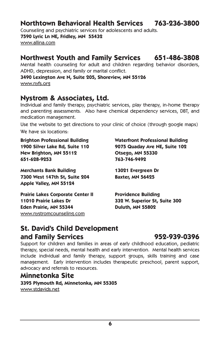#### **Northtown Behavioral Health Services 763-236-3800**

Counseling and psychiatric services for adolescents and adults.

**7590 Lyric Ln NE, Fridley, MN 55432** www.allina.com

#### **Northwest Youth and Family Services 651-486-3808**

Mental health counseling for adult and children regarding behavior disorders, ADHD, depression, and family or marital conflict.

#### **3490 Lexington Ave N, Suite 205, Shoreview, MN 55126** www.nyfs.org

#### **Nystrom & Associates, Ltd.**

Individual and family therapy, psychiatric services, play therapy, in-home therapy and parenting assessments. Also have chemical dependency services, DBT, and medication management.

Use the website to get directions to your clinic of choice (through google maps) We have six locations:

**New Brighton, MN 55112 Otsego, MN 55330 651-628-9253 763-746-9492**

**Merchants Bank Building 13021 Evergreen Dr 7300 West 147th St, Suite 204 Baxter, MN 56425 Apple Valley, MN 55124**

**Prairie Lakes Corporate Center II Providence Building 11010 Prairie Lakes Dr 332 W. Superior St, Suite 300 Eden Prairie, MN 55344 Duluth, MN 55802** www.nystromcounseling.com

**Brighton Professional Building Waterfront Professional Building 1900 Silver Lake Rd, Suite 110 9075 Quaday Ave NE, Suite 102**

### **St. David's Child Development and Family Services 952-939-0396**

Support for children and families in areas of early childhood education, pediatric therapy, special needs, mental health and early intervention. Mental health services include individual and family therapy, support groups, skills training and case management. Early intervention includes therapeutic preschool, parent support, advocacy and referrals to resources.

#### **Minnetonka Site 3395 Plymouth Rd, Minnetonka, MN 55305** www.stdavids.net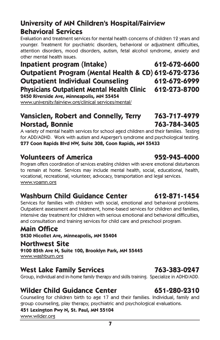### **University of MN Children's Hospital/Fairview Behavioral Services**

Evaluation and treatment services for mental health concerns of children 12 years and younger. Treatment for psychiatric disorders, behavioral or adjustment difficulties, attention disorders, mood disorders, autism, fetal alcohol syndrome, anxiety and other mental health issues.

**Inpatient program (Intake) 612-672-6600 Outpatient Program (Mental Health & CD) 612-672-2736 Outpatient Individual Counseling 612-672-6999 Physicians Outpatient Mental Health Clinic 612-273-8700 2450 Riverside Ave, Minneapolis, MN 55454**

www.university.fairview.org/clinical services/mental/

#### **Vansiclen, Robert and Connelly, Terry 763-717-4979 Norstad, Bonnie 763-784-3405**

A variety of mental health services for school aged children and their families. Testing for ADD/ADHD. Work with autism and Asperger's syndrome and psychological testing. **277 Coon Rapids Blvd NW, Suite 308, Coon Rapids, MN 55433**

### **Volunteers of America 952-945-4000**

Program offers coordination of services enabling children with severe emotional disturbances to remain at home. Services may include mental health, social, educational, health, vocational, recreational, volunteer, advocacy, transportation and legal services. www.voamn.org

### **Washburn Child Guidance Center 612-871-1454**

Services for families with children with social, emotional and behavioral problems. Outpatient assessment and treatment, home-based services for children and families, intensive day treatment for children with serious emotional and behavioral difficulties, and consultation and training services for child care and preschool program.

### **Main Office**

**2430 Nicollet Ave, Minneapolis, MN 55404**

#### **Northwest Site**

**9100 85th Ave N, Suite 100, Brooklyn Park, MN 55445** www.washburn.org

### **West Lake Family Services 763-383-0247**

Group, individual and in-home family therapy and skills training. Specialize in ADHD/ADD.

### **Wilder Child Guidance Center 651-280-2310**

Counseling for children birth to age 17 and their families. Individual, family and group counseling, play therapy, psychiatric and psychological evaluations.

#### **451 Lexington Pwy N, St. Paul, MN 55104**

www.wilder.org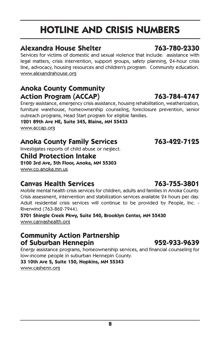# **HOTLINE AND CRISIS NUMBERS**

#### **Alexandra House Shelter 763-780-2330**

Services for victims of domestic and sexual violence that include: assistance with legal matters, crisis intervention, support groups, safety planning, 24-hour crisis line, advocacy, housing resources and children's program. Community education. www.alexandrahouse.org

### **Anoka County Community Action Program (ACCAP) 763-784-4747**

Energy assistance, emergency crisis assistance, housing rehabilitation, weatherization, furniture warehouse, homeownership counseling, foreclosure prevention, senior outreach programs, Head Start program for eligible families.

**1201 89th Ave NE, Suite 345, Blaine, MN 55433**

www.accap.org

### **Anoka County Family Services 763-422-7125**

Investigates reports of child abuse or neglect.

#### **Child Protection Intake**

**2100 3rd Ave, 5th Floor, Anoka, MN 55303** www.co.anoka.mn.us

### **Canvas Health Services 763-755-3801**

Mobile mental health crisis services for children, adults and families in Anoka County. Crisis assessment, intervention and stabilization services available 24 hours per day. Adult residential crisis services will continue to be provided by People, Inc. - Riverwind (763-862-7944).

**5701 Shingle Creek Pkwy, Suite 540, Brooklyn Center, MN 55430** www.canvashealth.org

#### **Community Action Partnership of Suburban Hennepin 952-933-9639**

Energy assistance programs, homeownership services, and financial counseling for low-income people in suburban Hennepin County.

**33 10th Ave S, Suite 150, Hopkins, MN 55343**

www.cashenn.org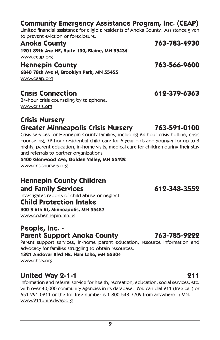#### **Community Emergency Assistance Program, Inc. (CEAP)**

Limited financial assistance for eligible residents of Anoka County. Assistance given to prevent eviction or foreclosure.

| <b>Anoka County</b>                           | 763-783-4930 |
|-----------------------------------------------|--------------|
| 1201 89th Ave NE, Suite 130, Blaine, MN 55434 |              |
| www.ceap.org                                  |              |
| <b>Hennepin County</b>                        | 763-566-9600 |
| 6840 78th Ave N, Brooklyn Park, MN 55455      |              |
| www.ceap.org                                  |              |
|                                               |              |

#### **Crisis Connection 612-379-6363**

24-hour crisis counseling by telephone. www.crisis.org

#### **Crisis Nursery Greater Minneapolis Crisis Nursery 763-591-0100**

Crisis services for Hennepin County families, including 24-hour crisis hotline, crisis counseling, 72-hour residential child care for 6 year olds and younger for up to 3 nights, parent education, in-home visits, medical care for children during their stay and referrals to partner organizations.

#### **5400 Glenwood Ave, Golden Valley, MN 55422**

www.crisisnursery.org

### **Hennepin County Children and Family Services 612-348-3552**

Investigates reports of child abuse or neglect.

#### **Child Protection Intake**

**300 S 6th St, Minneapolis, MN 55487**

www.co.hennepin.mn.us

# **People, Inc. - Parent Support Anoka County 763-785-9222**

Parent support services, in-home parent education, resource information and advocacy for families struggling to obtain resources.

#### **1321 Andover Blvd NE, Ham Lake, MN 55304** www.chsfs.org

**United Way 2-1-1 211** Information and referral service for health, recreation, education, social services, etc. with over 40,000 community agencies in its database. You can dial 211 (free call) or 651-291-0211 or the toll free number is 1-800-543-7709 from anywhere in MN. www.211unitedway.org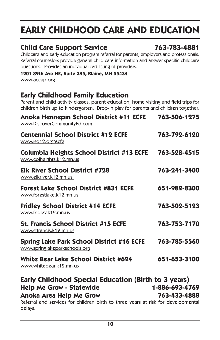# **EARLY CHILDHOOD CARE AND EDUCATION**

#### **Child Care Support Service 763-783-4881**

Childcare and early education program referral for parents, employers and professionals. Referral counselors provide general child care information and answer specific childcare questions. Provides an individualized listing of providers.

#### **1201 89th Ave NE, Suite 345, Blaine, MN 55434**

www.accap.org

#### **Early Childhood Family Education**

Parent and child activity classes, parent education, home visiting and field trips for children birth up to kindergarten. Drop-in play for parents and children together.

| Anoka Hennepin School District #11 ECFE<br>www.DiscoverCommunityEd.com                       | 763-506-1275   |
|----------------------------------------------------------------------------------------------|----------------|
| <b>Centennial School District #12 ECFE</b><br>www.isd12.org/ecfe                             | 763-792-6120   |
| Columbia Heights School District #13 ECFE<br>www.colheights.k12.mn.us                        | 763-528-4515   |
| <b>Elk River School District #728</b><br>www.elkriver.k12.mn.us                              | 763-241-3400   |
| <b>Forest Lake School District #831 ECFE</b><br>www.forestlake.k12.mn.us                     | 651-982-8300   |
| <b>Fridley School District #14 ECFE</b><br>www.fridley.k12.mn.us                             | 763-502-5123   |
| <b>St. Francis School District #15 ECFE</b><br>www.stfrancis.k12.mn.us                       | 763-753-7170   |
| <b>Spring Lake Park School District #16 ECFE</b><br>www.springlakeparkschools.org            | 763-785-5560   |
| <b>White Bear Lake School District #624</b><br>www.whitebear.k12.mn.us                       | 651-653-3100   |
| Early Childhood Special Education (Birth to 3 years)                                         |                |
| <b>Help Me Grow - Statewide</b>                                                              | 1-886-693-4769 |
| Anoka Area Help Me Grow                                                                      | 763-433-4888   |
| Referral and services for children birth to three years at risk for developmental<br>delays. |                |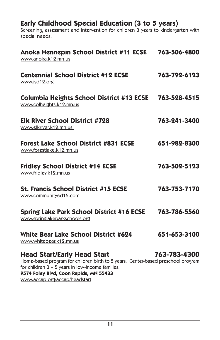#### **Early Childhood Special Education (3 to 5 years)**

Screening, assessment and intervention for children 3 years to kindergarten with special needs.

| Anoka Hennepin School District #11 ECSE 763-506-4800<br>www.anoka.k12.mn.us                                                                                                                                            |              |
|------------------------------------------------------------------------------------------------------------------------------------------------------------------------------------------------------------------------|--------------|
| <b>Centennial School District #12 ECSE</b><br>www.isd12.org                                                                                                                                                            | 763-792-6123 |
| Columbia Heights School District #13 ECSE 763-528-4515<br>www.colheights.k12.mn.us                                                                                                                                     |              |
| <b>Elk River School District #728</b><br>www.elkriver.k12.mn.us                                                                                                                                                        | 763-241-3400 |
| <b>Forest Lake School District #831 ECSE</b><br>www.forestlake.k12.mn.us                                                                                                                                               | 651-982-8300 |
| <b>Fridley School District #14 ECSE</b><br>www.fridley.k12.mn.us                                                                                                                                                       | 763-502-5123 |
| <b>St. Francis School District #15 ECSE</b><br>www.communityed15.com                                                                                                                                                   | 763-753-7170 |
| <b>Spring Lake Park School District #16 ECSE</b><br>www.springlakeparkschools.org                                                                                                                                      | 763-786-5560 |
| <b>White Bear Lake School District #624</b><br>www.whitebear.k12.mn.us                                                                                                                                                 | 651-653-3100 |
| <b>Head Start/Early Head Start</b><br>Home-based program for children birth to 5 years. Center-based preschool program<br>for children $3 - 5$ years in low-income families.<br>9574 Foley Blvd, Coon Rapids, MN 55433 | 763-783-4300 |

www.accap.org/accap/headstart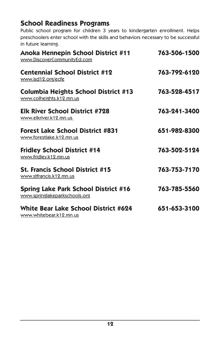### **School Readiness Programs**

Public school program for children 3 years to kindergarten enrollment. Helps preschoolers enter school with the skills and behaviors necessary to be successful in future learning.

| Anoka Hennepin School District #11<br>www.DiscoverCommunityEd.com            | 763-506-1500 |
|------------------------------------------------------------------------------|--------------|
| <b>Centennial School District #12</b><br>www.isd12.org/ecfe                  | 763-792-6120 |
| <b>Columbia Heights School District #13</b><br>www.colheights.k12.mn.us      | 763-528-4517 |
| <b>Elk River School District #728</b><br>www.elkriver.k12.mn.us              | 763-241-3400 |
| <b>Forest Lake School District #831</b><br>www.forestlake.k12.mn.us          | 651-982-8300 |
| <b>Fridley School District #14</b><br>www.fridley.k12.mn.us                  | 763-502-5124 |
| <b>St. Francis School District #15</b><br>www.stfrancis.k12.mn.us            | 763-753-7170 |
| <b>Spring Lake Park School District #16</b><br>www.springlakeparkschools.org | 763-785-5560 |
| <b>White Bear Lake School District #624</b><br>www.whitebear.k12.mn.us       | 651-653-3100 |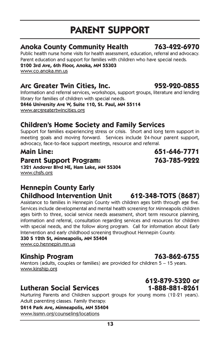# **PARENT SUPPORT**

#### **Anoka County Community Health 763-422-6970**

Public health nurse home visits for health assessment, education, referral and advocacy. Parent education and support for families with children who have special needs.

**2100 3rd Ave, 6th Floor, Anoka, MN 55303**

www.co.anoka.mn.us

#### **Arc Greater Twin Cities, Inc. 952-920-0855**

Information and referral services, workshops, support groups, literature and lending library for families of children with special needs.

**2446 University Ave W, Suite 110, St. Paul, MN 55114** www.arcgreatertwincities.org

### **Children's Home Society and Family Services**

Support for families experiencing stress or crisis. Short and long term support in meeting goals and moving forward. Services include 24-hour parent support, advocacy, face-to-face support meetings, resource and referral.

#### **Parent Support Program: 763-785-9222**

**1321 Andover Blvd NE, Ham Lake, MN 55304** www.chsfs.org

### **Hennepin County Early Childhood Intervention Unit 612-348-TOTS (8687)**

Assistance to families in Hennepin County with children ages birth through age five. Services include developmental and mental health screening for Minneapolis children ages birth to three, social service needs assessment, short term resource planning, information and referral, consultation regarding services and resources for children with special needs, and the follow along program. Call for information about Early Intervention and early childhood screening throughout Hennepin County.

**330 S 12th St, Minneapolis, MN 55404** www.co.hennepin.mn.us

### **Kinship Program 763-862-6755**

Mentors (adults, couples or families) are provided for children 5 – 15 years. www.kinship.org

### **Lutheran Social Services 1-888-881-8261**

Nurturing Parents and Children support groups for young moms (12-21 years). Adult parenting classes. Family therapy.

**2414 Park Ave, Minneapolis, MN 55404**

www.lssmn.org/counseling/locations

# **612-879-5320 or**

**Main Line: 651-646-7771**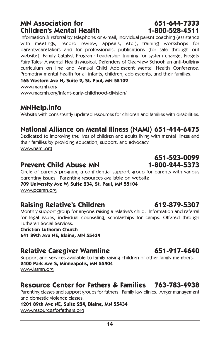#### **MN Association for 651-644-7333 Children's Mental Health 1-800-528-4511**

Information & referral by telephone or e-mail, individual parent coaching (assistance with meetings, record review, appeals, etc.), training workshops for parents/caretakers and for professionals, publications (for sale through out website), Family Catalyst Program: Leadership training for system change, Fidgety Fairy Tales: A Mental Health Musical, Defenders of Clearview School: an anti-bullying curriculum on line and Annual Child Adolescent Mental Health Conference. Promoting mental health for all infants, children, adolescents, and their families.

**165 Western Ave N, Suite 2, St. Paul, MN 55102** www.macmh.org

www.macmh.org/infant-early-childhood-division/

#### **MNHelp.info**

Website with consistently updated resources for children and families with disabilities.

### **National Alliance on Mental Illness (NAMI) 651-414-6475**

Dedicated to improving the lives of children and adults living with mental illness and their families by providing education, support, and advocacy. www.nami.org

### **Prevent Child Abuse MN 1-800-244-5373**

Circle of parents program, a confidential support group for parents with various parenting issues. Parenting resources available on website.

**709 University Ave W, Suite 234, St. Paul, MN 55104**

www.pcamn.org

### **Raising Relative's Children 612-879-5307**

Monthly support group for anyone raising a relative's child. Information and referral for legal issues, individual counseling, scholarships for camps. Offered through Lutheran Social Services.

**Christian Lutheran Church**

**641 89th Ave NE, Blaine, MN 55434**

### **Relative Caregiver Warmline 651-917-4640**

Support and services available to family raising children of other family members. **2400 Park Ave S, Minneapolis, MN 55404** www.lssmn.org

### **Resource Center for Fathers & Families 763-783-4938**

Parenting classes and support groups for fathers. Family law clinics. Anger management and domestic violence classes.

**1201 89th Ave NE, Suite 224, Blaine, MN 55434** www.resourcesforfathers.org

 **651-523-0099**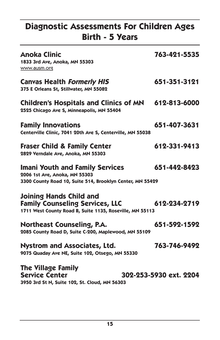## **Diagnostic Assessments For Children Ages Birth - 5 Years**

| <b>Anoka Clinic</b><br>1833 3rd Ave, Anoka, MN 55303<br>www.ausm.org                                                                 | 763-421-5535           |
|--------------------------------------------------------------------------------------------------------------------------------------|------------------------|
| <b>Canvas Health Formerly HIS</b><br>375 E Orleans St, Stillwater, MN 55082                                                          | 651-351-3121           |
| <b>Children's Hospitals and Clinics of MN</b><br>2525 Chicago Ave S, Minneapolis, MN 55404                                           | 612-813-6000           |
| <b>Family Innovations</b><br>Centerville Clinic, 7041 20th Ave S, Centerville, MN 55038                                              | 651-407-3631           |
| <b>Fraser Child &amp; Family Center</b><br>2829 Verndale Ave, Anoka, MN 55303                                                        | 612-331-9413           |
| <b>Imani Youth and Family Services</b><br>2006 1st Ave, Anoka, MN 55303<br>3300 County Road 10, Suite 514, Brooklyn Center, MN 55429 | 651-442-8423           |
| <b>Joining Hands Child and</b><br><b>Family Counseling Services, LLC</b><br>1711 West County Road B, Suite 1135, Roseville, MN 55113 | 612-234-2719           |
| <b>Northeast Counseling, P.A.</b><br>2085 County Road D, Suite C-200, Maplewood, MN 55109                                            | 651-592-1592           |
| <b>Nystrom and Associates, Ltd.</b><br>9075 Quaday Ave NE, Suite 102, Otsego, MN 55330                                               | 763-746-9492           |
| <b>The Village Family</b><br><b>Service Center</b><br>3950 3rd St N, Suite 102, St. Cloud, MN 56303                                  | 302-253-5930 ext. 2204 |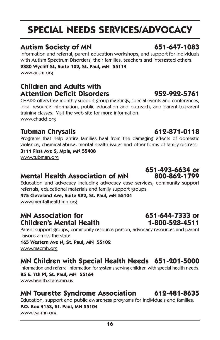# **SPECIAL NEEDS SERVICES/ADVOCACY**

### **Autism Society of MN 651-647-1083**

Information and referral, parent education workshops, and support for individuals with Autism Spectrum Disorders, their families, teachers and interested others.

#### **2380 Wycliff St, Suite 102, St. Paul, MN 55114**

www.ausm.org

#### **Children and Adults with Attention Deficit Disorders 952-922-5761**

CHADD offers free monthly support group meetings, special events and conferences, local resource information, public education and outreach, and parent-to-parent training classes. Visit the web site for more information. www.chadd.org

### **Tubman Chrysalis 612-871-0118**

Programs that help entire families heal from the damaging effects of domestic violence, chemical abuse, mental health issues and other forms of family distress.

#### **3111 First Ave S, Mpls, MN 55408** www.tubman.org

### **Mental Health Association of MN**

Education and advocacy including advocacy case services, community support referrals, educational materials and family support groups.

**475 Cleveland Ave, Suite 222, St. Paul, MN 55104** www.mentalhealthmn.org

#### **MN Association for 651-644-7333 or Children's Mental Health 1-800-528-4511**

Parent support groups, community resource person, advocacy resources and parent liaisons across the state.

**165 Western Ave N, St. Paul, MN 55102** www.macmh.org

### **MN Children with Special Health Needs 651-201-5000**

Information and referral information for systems serving children with special health needs. **85 E. 7th Pl, St. Paul, MN 55164** www.health.state.mn.us

#### **MN Tourette Syndrome Association 612-481-8635**

Education, support and public awareness programs for individuals and families.

#### **P.O. Box 4153, St. Paul, MN 55104** www.tsa-mn.org

# **651-493-6634 or**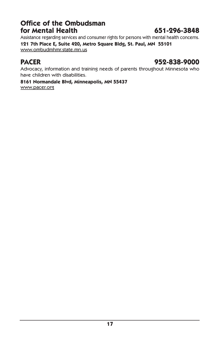#### **Office of the Ombudsman for Mental Health 651-296-3848**

Assistance regarding services and consumer rights for persons with mental health concerns. **121 7th Place E, Suite 420, Metro Square Bldg, St. Paul, MN 55101** www.ombudmhmr.state.mn.us

#### **PACER 952-838-9000**

Advocacy, information and training needs of parents throughout Minnesota who have children with disabilities.

#### **8161 Normandale Blvd, Minneapolis, MN 55437**

www.pacer.org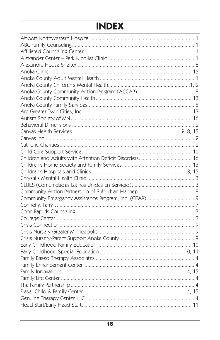# **INDEX**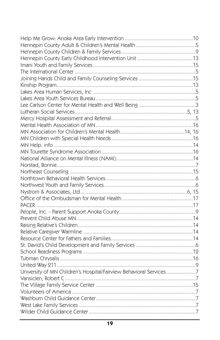| University of MN Children's Hospital/Fairview Behavioral Services7 |  |
|--------------------------------------------------------------------|--|
|                                                                    |  |
|                                                                    |  |
|                                                                    |  |
|                                                                    |  |
|                                                                    |  |
|                                                                    |  |